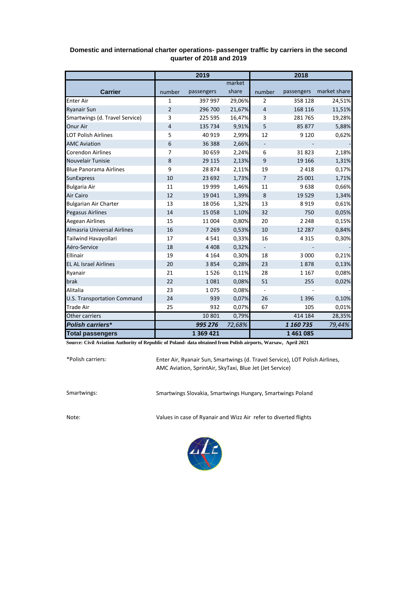|                                    | 2019           |            |        | 2018                     |            |              |
|------------------------------------|----------------|------------|--------|--------------------------|------------|--------------|
|                                    |                |            | market |                          |            |              |
| <b>Carrier</b>                     | number         | passengers | share  | number                   | passengers | market share |
| <b>Enter Air</b>                   | $\mathbf{1}$   | 397 997    | 29,06% | $\overline{2}$           | 358 128    | 24,51%       |
| <b>Ryanair Sun</b>                 | $\overline{2}$ | 296 700    | 21,67% | $\overline{4}$           | 168 116    | 11,51%       |
| Smartwings (d. Travel Service)     | 3              | 225 595    | 16,47% | 3                        | 281 765    | 19,28%       |
| Onur Air                           | 4              | 135 734    | 9,91%  | 5                        | 85 877     | 5,88%        |
| <b>LOT Polish Airlines</b>         | 5              | 40 919     | 2,99%  | 12                       | 9 1 2 0    | 0,62%        |
| <b>AMC Aviation</b>                | 6              | 36 388     | 2,66%  |                          |            |              |
| <b>Corendon Airlines</b>           | 7              | 30 659     | 2,24%  | 6                        | 31823      | 2,18%        |
| Nouvelair Tunisie                  | 8              | 29 115     | 2,13%  | 9                        | 19 16 6    | 1,31%        |
| <b>Blue Panorama Airlines</b>      | 9              | 28 874     | 2,11%  | 19                       | 2 4 1 8    | 0,17%        |
| <b>SunExpress</b>                  | 10             | 23 692     | 1,73%  | $\overline{7}$           | 25 001     | 1,71%        |
| <b>Bulgaria Air</b>                | 11             | 19 999     | 1,46%  | 11                       | 9638       | 0,66%        |
| <b>Air Cairo</b>                   | 12             | 19 041     | 1,39%  | 8                        | 19 5 29    | 1,34%        |
| <b>Bulgarian Air Charter</b>       | 13             | 18 0 56    | 1,32%  | 13                       | 8919       | 0,61%        |
| <b>Pegasus Airlines</b>            | 14             | 15 0 58    | 1,10%  | 32                       | 750        | 0,05%        |
| Aegean Airlines                    | 15             | 11 004     | 0,80%  | 20                       | 2 2 4 8    | 0,15%        |
| Almasria Universal Airlines        | 16             | 7 2 6 9    | 0,53%  | 10                       | 12 2 8 7   | 0,84%        |
| Tailwind Havayollari               | 17             | 4541       | 0,33%  | 16                       | 4 3 1 5    | 0,30%        |
| Aéro-Service                       | 18             | 4 4 0 8    | 0,32%  | $\overline{\phantom{a}}$ |            |              |
| Ellinair                           | 19             | 4 1 6 4    | 0,30%  | 18                       | 3 0 0 0    | 0,21%        |
| <b>EL AL Israel Airlines</b>       | 20             | 3854       | 0,28%  | 23                       | 1878       | 0,13%        |
| Ryanair                            | 21             | 1526       | 0,11%  | 28                       | 1 1 6 7    | 0,08%        |
| brak                               | 22             | 1081       | 0,08%  | 51                       | 255        | 0,02%        |
| Alitalia                           | 23             | 1075       | 0,08%  |                          |            |              |
| <b>U.S. Transportation Command</b> | 24             | 939        | 0,07%  | 26                       | 1 3 9 6    | 0,10%        |
| <b>Trade Air</b>                   | 25             | 932        | 0,07%  | 67                       | 105        | 0,01%        |
| Other carriers                     |                | 10 801     | 0,79%  |                          | 414 184    | 28,35%       |
| <b>Polish carriers*</b>            |                | 995 276    | 72,68% |                          | 1 160 735  | 79,44%       |
| <b>Total passengers</b>            |                | 1 369 421  |        |                          | 1461085    |              |

## **Domestic and international charter operations- passenger traffic by carriers in the second quarter of 2018 and 2019**

**Source: Civil Aviation Authority of Republic of Poland- data obtained from Polish airports, Warsaw, April 2021**

\*Polish carriers:

Enter Air, Ryanair Sun, Smartwings (d. Travel Service), LOT Polish Airlines, AMC Aviation, SprintAir, SkyTaxi, Blue Jet (Jet Service)

Smartwings: Smartwings Slovakia, Smartwings Hungary, Smartwings Poland

Note: Values in case of Ryanair and Wizz Air refer to diverted flights